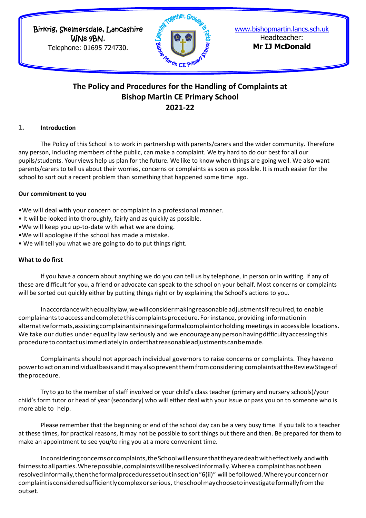Birkrig, Skelmersdale, Lancashire WN8 9BN.

Telephone: 01695 724730.



[www.bishopmartin.lancs.sch.uk](http://www.bishopmartin.lancs.sch.uk/) Headteacher: **Mr IJ McDonald**

# **The Policy and Procedures for the Handling of Complaints at Bishop Martin CE Primary School 2021-22**

## **1. Introduction**

The Policy of this School is to work in partnership with parents/carers and the wider community. Therefore any person, including members of the public, can make a complaint. We try hard to do our best for all our pupils/students. Your views help us plan for the future. We like to know when things are going well. We also want parents/carers to tell us about their worries, concerns or complaints as soon as possible. It is much easier for the school to sort out a recent problem than something that happened some time ago.

#### **Our commitment to you**

•We will deal with your concern or complaint in a professional manner.

- It will be looked into thoroughly, fairly and as quickly as possible.
- •We will keep you up-to-date with what we are doing.
- •We will apologise if the school has made a mistake.
- We will tell you what we are going to do to put things right.

#### **What to do first**

If you have a concern about anything we do you can tell us by telephone, in person or in writing. If any of these are difficult for you, a friend or advocate can speak to the school on your behalf. Most concerns or complaints will be sorted out quickly either by putting things right or by explaining the School's actions to you.

Inaccordancewithequalitylaw,wewillconsidermakingreasonableadjustmentsifrequired,to enable complainants to access and complete this complaints procedure. For instance, providing informationin alternativeformats,assistingcomplainantsinraisingaformalcomplaintorholding meetings in accessible locations. We take our duties under equality law seriously and we encourage any person having difficulty accessing this procedure tocontactusimmediately in orderthatreasonableadjustmentscanbemade.

Complainants should not approach individual governors to raise concerns or complaints. Theyhaveno power to act on an individual basis and it may also prevent them from considering complaints at the Review Stage of theprocedure.

Try to go to the member of staff involved or your child's class teacher (primary and nursery schools)/your child's form tutor or head of year (secondary) who will either deal with your issue or pass you on to someone who is more able to help.

Please remember that the beginning or end of the school day can be a very busy time. If you talk to a teacher at these times, for practical reasons, it may not be possible to sort things out there and then. Be prepared for them to make an appointment to see you/to ring you at a more convenient time.

Inconsideringconcernsorcomplaints,theSchoolwillensurethattheyaredealtwitheffectively andwith fairness to all parties. Where possible, complaints will be resolved informally. Where a complaint has not been resolvedinformally,thentheformalproceduressetoutinsection"6(ii)" willbefollowed.Whereyourconcernor complaintisconsideredsufficientlycomplexorserious, theschoolmaychoosetoinvestigateformallyfromthe outset.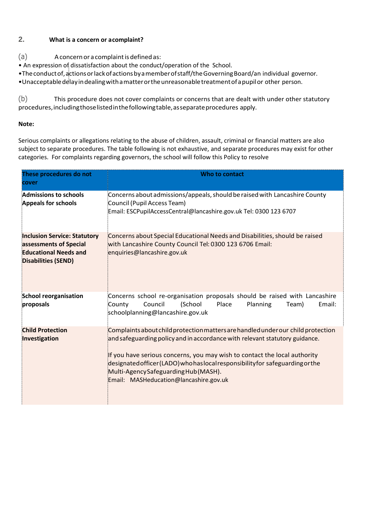# **2. What is a concern or acomplaint?**

- (a) Aconcernor a complaintis definedas:
- An expression of dissatisfaction about the conduct/operation of the School.
- •Theconductof,actionsorlackofactionsbyamemberofstaff/theGoverningBoard/an individual governor.
- •Unacceptabledelayindealingwithamatterortheunreasonabletreatmentofapupilor other person.

(b) This procedure does not cover complaints or concerns that are dealt with under other statutory procedures,includingthoselistedinthefollowingtable,asseparateprocedures apply.

## **Note:**

Serious complaints or allegations relating to the abuse of children, assault, criminal or financial matters are also subject to separate procedures. The table following is not exhaustive, and separate procedures may exist for other categories. For complaints regarding governors, the school will follow this Policy to resolve

| These procedures do not<br>cover                                                                                            | Who to contact                                                                                                                                                                                                                                                                                                                                                                                                    |
|-----------------------------------------------------------------------------------------------------------------------------|-------------------------------------------------------------------------------------------------------------------------------------------------------------------------------------------------------------------------------------------------------------------------------------------------------------------------------------------------------------------------------------------------------------------|
| Admissions to schools<br><b>Appeals for schools</b>                                                                         | Concerns about admissions/appeals, should be raised with Lancashire County<br>Council (Pupil Access Team)<br>Email: ESCPupilAccessCentral@lancashire.gov.uk Tel: 0300 123 6707                                                                                                                                                                                                                                    |
| <b>Inclusion Service: Statutory</b><br>assessments of Special<br><b>Educational Needs and</b><br><b>Disabilities (SEND)</b> | Concerns about Special Educational Needs and Disabilities, should be raised<br>with Lancashire County Council Tel: 0300 123 6706 Email:<br>enquiries@lancashire.gov.uk                                                                                                                                                                                                                                            |
| <b>School reorganisation</b><br>proposals                                                                                   | Concerns school re-organisation proposals should be raised with Lancashire<br>Council<br>(School<br>County<br>Place<br>Planning<br>Team)<br>Email:<br>schoolplanning@lancashire.gov.uk                                                                                                                                                                                                                            |
| <b>Child Protection</b><br>Investigation                                                                                    | Complaints about child protection matters are handled under our child protection<br>and safeguarding policy and in accordance with relevant statutory guidance.<br>If you have serious concerns, you may wish to contact the local authority<br>designated officer (LADO) who has local responsibility for safeguarding or the<br>Multi-Agency Safeguarding Hub (MASH).<br>Email: MASHeducation@lancashire.gov.uk |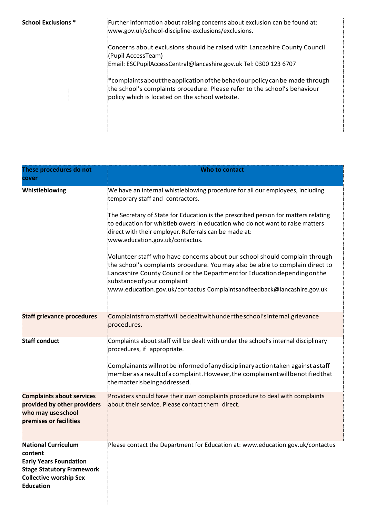| School Exclusions * | Further information about raising concerns about exclusion can be found at:<br>www.gov.uk/school-discipline-exclusions/exclusions.                                                                              |
|---------------------|-----------------------------------------------------------------------------------------------------------------------------------------------------------------------------------------------------------------|
|                     | Concerns about exclusions should be raised with Lancashire County Council<br>(Pupil AccessTeam)                                                                                                                 |
|                     | Email: ESCPupilAccessCentral@lancashire.gov.uk Tel: 0300 123 6707                                                                                                                                               |
|                     | $*$ complaints about the application of the behaviour policy can be made through<br>the school's complaints procedure. Please refer to the school's behaviour<br>policy which is located on the school website. |

| These procedures do not<br>cover                                                                                                                         | Who to contact                                                                                                                                                                                                                                                                                                                                     |
|----------------------------------------------------------------------------------------------------------------------------------------------------------|----------------------------------------------------------------------------------------------------------------------------------------------------------------------------------------------------------------------------------------------------------------------------------------------------------------------------------------------------|
| Whistleblowing                                                                                                                                           | We have an internal whistleblowing procedure for all our employees, including<br>temporary staff and contractors.                                                                                                                                                                                                                                  |
|                                                                                                                                                          | The Secretary of State for Education is the prescribed person for matters relating<br>to education for whistleblowers in education who do not want to raise matters<br>direct with their employer. Referrals can be made at:<br>www.education.gov.uk/contactus.                                                                                    |
|                                                                                                                                                          | Volunteer staff who have concerns about our school should complain through<br>the school's complaints procedure. You may also be able to complain direct to<br>Lancashire County Council or the Department for Education depending on the<br>substance of your complaint<br>www.education.gov.uk/contactus Complaintsandfeedback@lancashire.gov.uk |
|                                                                                                                                                          |                                                                                                                                                                                                                                                                                                                                                    |
| <b>Staff grievance procedures</b>                                                                                                                        | Complaints from staff will be dealt with under the school's internal grievance<br>procedures.                                                                                                                                                                                                                                                      |
| <b>Staff conduct</b>                                                                                                                                     | Complaints about staff will be dealt with under the school's internal disciplinary<br>procedures, if appropriate.                                                                                                                                                                                                                                  |
|                                                                                                                                                          | Complainants will not be informed of any disciplinary action taken against a staff<br>member as a result of a complaint. However, the complainant will be notified that<br>the matter is being addressed.                                                                                                                                          |
| <b>Complaints about services</b><br>provided by other providers<br>who may use school<br>premises or facilities                                          | Providers should have their own complaints procedure to deal with complaints<br>about their service. Please contact them direct.                                                                                                                                                                                                                   |
| <b>National Curriculum</b><br>content<br><b>Early Years Foundation</b><br><b>Stage Statutory Framework</b><br><b>Collective worship Sex</b><br>Education | Please contact the Department for Education at: www.education.gov.uk/contactus                                                                                                                                                                                                                                                                     |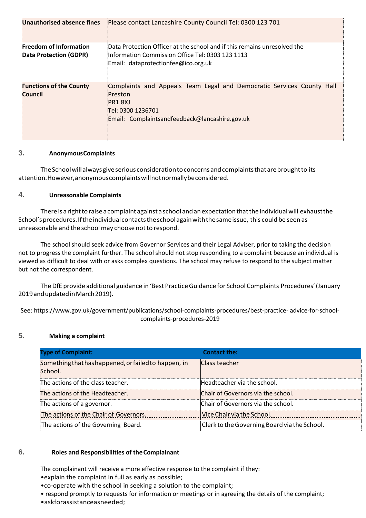| Unauthorised absence fines                              | Please contact Lancashire County Council Tel: 0300 123 701                                                                                                          |
|---------------------------------------------------------|---------------------------------------------------------------------------------------------------------------------------------------------------------------------|
| <b>Freedom of Information</b><br>Data Protection (GDPR) | Data Protection Officer at the school and if this remains unresolved the<br>Information Commission Office Tel: 0303 123 1113<br>Email: dataprotectionfee@ico.org.uk |
| <b>Functions of the County</b><br>Council               | Complaints and Appeals Team Legal and Democratic Services County Hall<br>Preston<br>PR18XJ<br>Tel: 0300 1236701<br>Email: Complaintsandfeedback@lancashire.gov.uk   |

## **3. AnonymousComplaints**

The School will always give serious consideration to concerns and complaints that are brought to its attention.However,anonymouscomplaintswillnotnormallybeconsidered.

## **4. Unreasonable Complaints**

There is a right to raise a complaint against a school and an expectation that the individual will exhaust the School's procedures. If the individual contacts the school again with the same issue, this could be seen as unreasonable and the school may choose not to respond.

The school should seek advice from Governor Services and their Legal Adviser, prior to taking the decision not to progress the complaint further. The school should not stop responding to a complaint because an individual is viewed as difficult to deal with or asks complex questions. The school may refuse to respond to the subject matter but not the correspondent.

The DfE provide additional guidance in 'Best Practice Guidance for School Complaints Procedures' (January 2019 and updated in March 2019).

See: [https://www.](http://www.gov.uk/government/publications/school-complaints-procedures/best-practice-)go[v.uk/government/publications/school-complaints-procedures/best-practice-](http://www.gov.uk/government/publications/school-complaints-procedures/best-practice-) advice-for-schoolcomplaints-procedures-2019

## **5. Making a complaint**

| <b>Type of Complaint:</b>                                       | <b>Contact the:</b>                          |
|-----------------------------------------------------------------|----------------------------------------------|
| Something that has happened, or failed to happen, in<br>School. | Class teacher                                |
| The actions of the class teacher.                               | Headteacher via the school.                  |
| The actions of the Headteacher.                                 | Chair of Governors via the school.           |
| The actions of a governor.                                      | Chair of Governors via the school.           |
| The actions of the Chair of Governors.                          | Vice Chair via the School.                   |
| The actions of the Governing Board.                             | Clerk to the Governing Board via the School. |

#### **6. Roles and Responsibilities of theComplainant**

The complainant will receive a more effective response to the complaint if they:

•explain the complaint in full as early as possible;

- •co-operate with the school in seeking a solution to the complaint;
- respond promptly to requests for information or meetings or in agreeing the details of the complaint;
- •askforassistanceasneeded;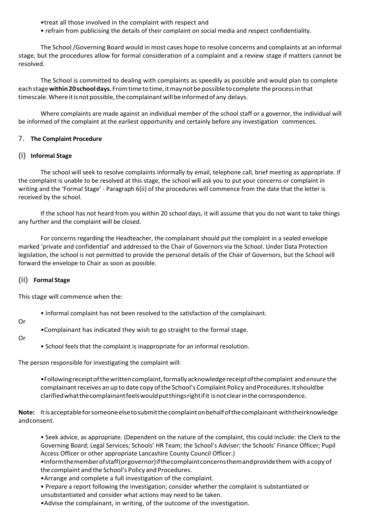•treat all those involved in the complaint with respect and

• refrain from publicising the details of their complaint on social media and respect confidentiality.

The School/Governing Board would in most cases hope to resolve concerns and complaints at an informal stage, but the procedures allow for formal consideration of a complaint and a review stage if matters cannot be resolved.

The School is committed to dealing with complaints as speedily as possible and would plan to complete eachstage**within20schooldays**.Fromtimetotime,itmaynotbepossibletocomplete theprocessinthat timescale. Where it is not possible, the complainant will be informed of any delays.

Where complaints are made against an individual member of the school staff or a governor, the individual will be informed of the complaint at the earliest opportunity and certainly before any investigation commences.

## **7. The Complaint Procedure**

## **(i) Informal Stage**

The school will seek to resolve complaints informally by email, telephone call, brief meeting as appropriate. If the complaint is unable to be resolved at this stage, the school will ask you to put your concerns or complaint in writing and the 'Formal Stage' - Paragraph 6(ii) of the procedures will commence from the date that the letter is received by the school.

If the school has not heard from you within 20 school days, it will assume that you do not want to take things any further and the complaint will be closed.

For concerns regarding the Headteacher, the complainant should put the complaint in a sealed envelope marked 'private and confidential' and addressed to the Chair of Governors via the School. Under Data Protection legislation, the school is not permitted to provide the personal details of the Chair of Governors, but the School will forward the envelope to Chair as soon as possible.

#### **(ii) Formal Stage**

This stage will commence when the:

• Informal complaint has not been resolved to the satisfaction of the complainant.

Or

•Complainant has indicated they wish to go straight to the formal stage.

#### Or

• School feels that the complaint is inappropriate for an informal resolution.

The person responsible for investigating the complaint will:

•Followingreceiptofthewrittencomplaint,formallyacknowledgereceiptofthecomplaint and ensure the complainant receives an up to date copy of the School's Complaint Policy and Procedures. It should be clarifiedwhatthecomplainantfeelswouldputthingsrightifit isnot clearinthecorrespondence.

**Note:** Itisacceptableforsomeoneelsetosubmitthecomplaintonbehalfofthecomplainant withtheirknowledge andconsent.

• Seek advice, as appropriate. (Dependent on the nature of the complaint, this could include: the Clerk to the Governing Board; Legal Services; Schools' HR Team; the School's Adviser; the Schools' Finance Officer; Pupil Access Officer or other appropriate Lancashire County Council Officer.)

•Informthememberofstaff(orgovernor)ifthecomplaintconcernsthemandprovidethem with a copy of the complaint and the School's Policy and Procedures.

•Arrange and complete a full investigation of the complaint.

• Prepare a report following the investigation; consider whether the complaint is substantiated or unsubstantiated and consider what actions may need to be taken.

•Advise the complainant, in writing, of the outcome of the investigation.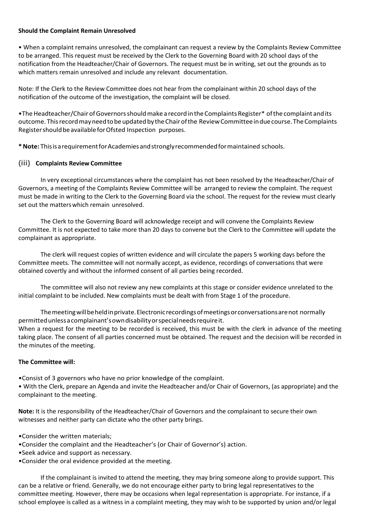#### **Should the Complaint Remain Unresolved**

• When a complaint remains unresolved, the complainant can request a review by the Complaints Review Committee to be arranged. This request must be received by the Clerk to the Governing Board with 20 school days of the notification from the Headteacher/Chair of Governors. The request must be in writing, set out the grounds as to which matters remain unresolved and include any relevant documentation.

Note: If the Clerk to the Review Committee does not hear from the complainant within 20 school days of the notification of the outcome of the investigation, the complaint will be closed.

•The Headteacher/Chair of Governors should make a record in the Complaints Register\* of the complaint and its outcome. ThisrecordmayneedtobeupdatedbytheChairofthe ReviewCommitteeinduecourse.TheComplaints Register should be available for Ofsted Inspection purposes.

**\*Note:** ThisisarequirementforAcademiesandstronglyrecommendedformaintained schools.

## **(iii) Complaints Review Committee**

In very exceptional circumstances where the complaint has not been resolved by the Headteacher/Chair of Governors, a meeting of the Complaints Review Committee will be arranged to review the complaint. The request must be made in writing to the Clerk to the Governing Board via the school. The request for the review must clearly set out the matterswhich remain unresolved.

The Clerk to the Governing Board will acknowledge receipt and will convene the Complaints Review Committee. It is not expected to take more than 20 days to convene but the Clerk to the Committee will update the complainant as appropriate.

The clerk will request copies of written evidence and will circulate the papers 5 working days before the Committee meets. The committee will not normally accept, as evidence, recordings of conversations that were obtained covertly and without the informed consent of all parties being recorded.

The committee will also not review any new complaints at this stage or consider evidence unrelated to the initial complaint to be included. New complaints must be dealt with from Stage 1 of the procedure.

Themeetingwillbeheldinprivate.Electronicrecordingsofmeetingsorconversationsarenot normally permittedunlessacomplainant'sowndisabilityorspecialneedsrequireit. When a request for the meeting to be recorded is received, this must be with the clerk in advance of the meeting taking place. The consent of all parties concerned must be obtained. The request and the decision will be recorded in the minutes of the meeting.

## **The Committee will:**

•Consist of 3 governors who have no prior knowledge of the complaint.

• With the Clerk, prepare an Agenda and invite the Headteacher and/or Chair of Governors, (as appropriate) and the complainant to the meeting.

**Note:** It is the responsibility of the Headteacher/Chair of Governors and the complainant to secure their own witnesses and neither party can dictate who the other party brings.

- •Consider the written materials;
- •Consider the complaint and the Headteacher's (or Chair of Governor's) action.
- •Seek advice and support as necessary.
- •Consider the oral evidence provided at the meeting.

If the complainant is invited to attend the meeting, they may bring someone along to provide support. This can be a relative or friend. Generally, we do not encourage either party to bring legal representatives to the committee meeting. However, there may be occasions when legal representation is appropriate. For instance, if a school employee is called as a witness in a complaint meeting, they may wish to be supported by union and/or legal